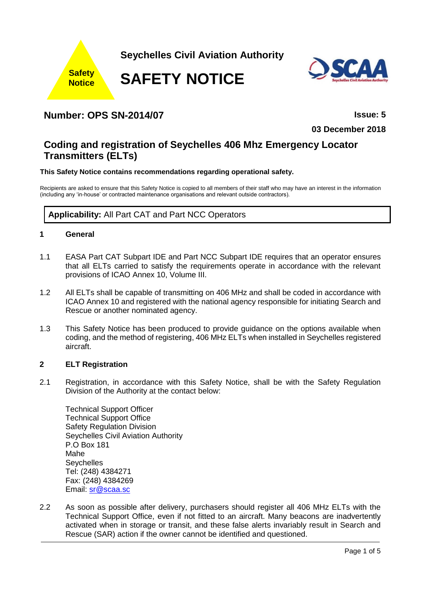



**03 December 2018**

# **Coding and registration of Seychelles 406 Mhz Emergency Locator Transmitters (ELTs)**

## **This Safety Notice contains recommendations regarding operational safety.**

Recipients are asked to ensure that this Safety Notice is copied to all members of their staff who may have an interest in the information (including any 'in-house' or contracted maintenance organisations and relevant outside contractors).

**Applicability:** All Part CAT and Part NCC Operators

# **1 General**

- 1.1 EASA Part CAT Subpart IDE and Part NCC Subpart IDE requires that an operator ensures that all ELTs carried to satisfy the requirements operate in accordance with the relevant provisions of ICAO Annex 10, Volume III.
- 1.2 All ELTs shall be capable of transmitting on 406 MHz and shall be coded in accordance with ICAO Annex 10 and registered with the national agency responsible for initiating Search and Rescue or another nominated agency.
- 1.3 This Safety Notice has been produced to provide guidance on the options available when coding, and the method of registering, 406 MHz ELTs when installed in Seychelles registered aircraft.

## **2 ELT Registration**

2.1 Registration, in accordance with this Safety Notice, shall be with the Safety Regulation Division of the Authority at the contact below:

Technical Support Officer Technical Support Office Safety Regulation Division Seychelles Civil Aviation Authority P.O Box 181 Mahe **Seychelles** Tel: (248) 4384271 Fax: (248) 4384269 Email: [sr@scaa.sc](mailto:sr@scaa.sc)

2.2 As soon as possible after delivery, purchasers should register all 406 MHz ELTs with the Technical Support Office, even if not fitted to an aircraft. Many beacons are inadvertently activated when in storage or transit, and these false alerts invariably result in Search and Rescue (SAR) action if the owner cannot be identified and questioned.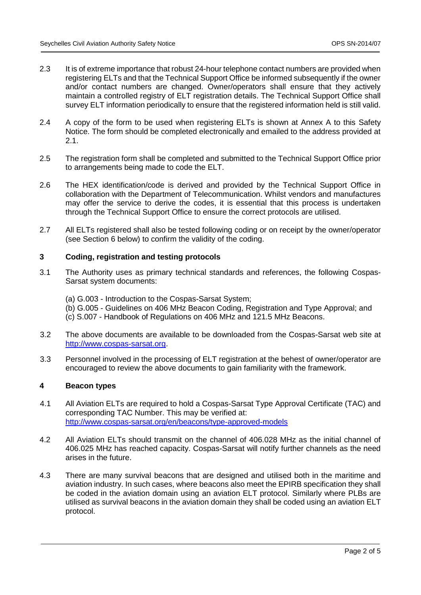- 2.3 It is of extreme importance that robust 24-hour telephone contact numbers are provided when registering ELTs and that the Technical Support Office be informed subsequently if the owner and/or contact numbers are changed. Owner/operators shall ensure that they actively maintain a controlled registry of ELT registration details. The Technical Support Office shall survey ELT information periodically to ensure that the registered information held is still valid.
- 2.4 A copy of the form to be used when registering ELTs is shown at Annex A to this Safety Notice. The form should be completed electronically and emailed to the address provided at 2.1.
- 2.5 The registration form shall be completed and submitted to the Technical Support Office prior to arrangements being made to code the ELT.
- 2.6 The HEX identification/code is derived and provided by the Technical Support Office in collaboration with the Department of Telecommunication. Whilst vendors and manufactures may offer the service to derive the codes, it is essential that this process is undertaken through the Technical Support Office to ensure the correct protocols are utilised.
- 2.7 All ELTs registered shall also be tested following coding or on receipt by the owner/operator (see Section 6 below) to confirm the validity of the coding.

#### **3 Coding, registration and testing protocols**

- 3.1 The Authority uses as primary technical standards and references, the following Cospas-Sarsat system documents:
	- (a) G.003 Introduction to the Cospas-Sarsat System;
	- (b) G.005 Guidelines on 406 MHz Beacon Coding, Registration and Type Approval; and
	- (c) S.007 Handbook of Regulations on 406 MHz and 121.5 MHz Beacons.
- 3.2 The above documents are available to be downloaded from the Cospas-Sarsat web site at [http://www.cospas-sarsat.org.](http://www.cospas-sarsat.org/)
- 3.3 Personnel involved in the processing of ELT registration at the behest of owner/operator are encouraged to review the above documents to gain familiarity with the framework.

#### **4 Beacon types**

- 4.1 All Aviation ELTs are required to hold a Cospas-Sarsat Type Approval Certificate (TAC) and corresponding TAC Number. This may be verified at: <http://www.cospas-sarsat.org/en/beacons/type-approved-models>
- 4.2 All Aviation ELTs should transmit on the channel of 406.028 MHz as the initial channel of 406.025 MHz has reached capacity. Cospas-Sarsat will notify further channels as the need arises in the future.
- 4.3 There are many survival beacons that are designed and utilised both in the maritime and aviation industry. In such cases, where beacons also meet the EPIRB specification they shall be coded in the aviation domain using an aviation ELT protocol. Similarly where PLBs are utilised as survival beacons in the aviation domain they shall be coded using an aviation ELT protocol.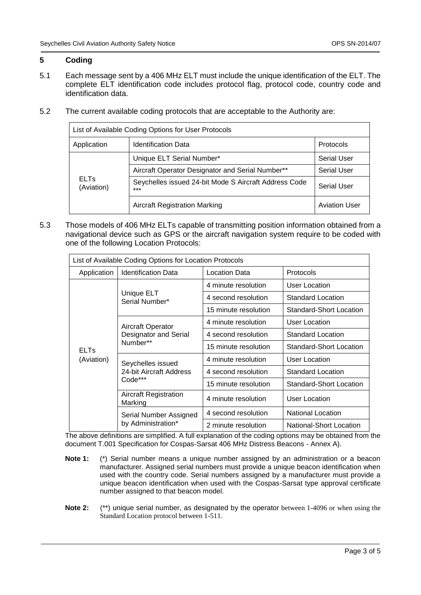#### **5 Coding**

- 5.1 Each message sent by a 406 MHz ELT must include the unique identification of the ELT. The complete ELT identification code includes protocol flag, protocol code, country code and identification data.
- 5.2 The current available coding protocols that are acceptable to the Authority are:

| List of Available Coding Options for User Protocols |                                                                |                      |  |  |
|-----------------------------------------------------|----------------------------------------------------------------|----------------------|--|--|
| Application                                         | <b>Identification Data</b>                                     | Protocols            |  |  |
| <b>ELTs</b><br>(Aviation)                           | Unique ELT Serial Number*                                      | <b>Serial User</b>   |  |  |
|                                                     | Aircraft Operator Designator and Serial Number**               | <b>Serial User</b>   |  |  |
|                                                     | Seychelles issued 24-bit Mode S Aircraft Address Code<br>$***$ | <b>Serial User</b>   |  |  |
|                                                     | <b>Aircraft Registration Marking</b>                           | <b>Aviation User</b> |  |  |

5.3 Those models of 406 MHz ELTs capable of transmitting position information obtained from a navigational device such as GPS or the aircraft navigation system require to be coded with one of the following Location Protocols:

| List of Available Coding Options for Location Protocols |                                                         |                      |                          |  |  |  |
|---------------------------------------------------------|---------------------------------------------------------|----------------------|--------------------------|--|--|--|
| Application                                             | <b>Identification Data</b>                              | Location Data        | Protocols                |  |  |  |
| <b>ELTs</b><br>(Aviation)                               | Unique ELT<br>Serial Number*                            | 4 minute resolution  | User Location            |  |  |  |
|                                                         |                                                         | 4 second resolution  | <b>Standard Location</b> |  |  |  |
|                                                         |                                                         | 15 minute resolution | Standard-Short Location  |  |  |  |
|                                                         | Aircraft Operator<br>Designator and Serial<br>Number**  | 4 minute resolution  | User Location            |  |  |  |
|                                                         |                                                         | 4 second resolution  | Standard Location        |  |  |  |
|                                                         |                                                         | 15 minute resolution | Standard-Short Location  |  |  |  |
|                                                         | Seychelles issued<br>24-bit Aircraft Address<br>Code*** | 4 minute resolution  | User Location            |  |  |  |
|                                                         |                                                         | 4 second resolution  | Standard Location        |  |  |  |
|                                                         |                                                         | 15 minute resolution | Standard-Short Location  |  |  |  |
|                                                         | Aircraft Registration<br>Marking                        | 4 minute resolution  | User Location            |  |  |  |
|                                                         | Serial Number Assigned<br>by Administration*            | 4 second resolution  | <b>National Location</b> |  |  |  |
|                                                         |                                                         | 2 minute resolution  | National-Short Location  |  |  |  |

The above definitions are simplified. A full explanation of the coding options may be obtained from the document T.001 Specification for Cospas-Sarsat 406 MHz Distress Beacons - Annex A).

- **Note 1:** (\*) Serial number means a unique number assigned by an administration or a beacon manufacturer. Assigned serial numbers must provide a unique beacon identification when used with the country code. Serial numbers assigned by a manufacturer must provide a unique beacon identification when used with the Cospas-Sarsat type approval certificate number assigned to that beacon model.
- **Note 2:** (\*\*) unique serial number, as designated by the operator between 1-4096 or when using the Standard Location protocol between 1-511.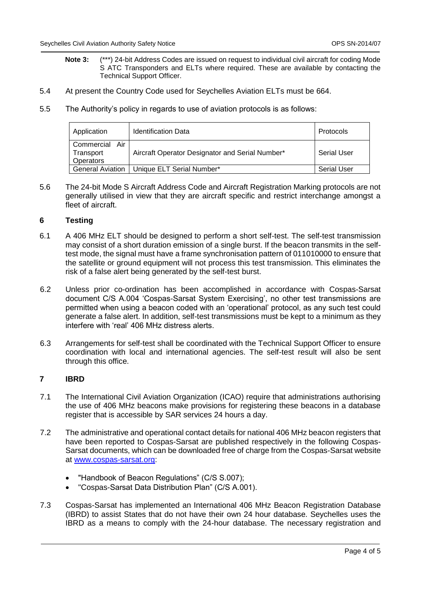- **Note 3:** (\*\*\*) 24-bit Address Codes are issued on request to individual civil aircraft for coding Mode S ATC Transponders and ELTs where required. These are available by contacting the Technical Support Officer.
- 5.4 At present the Country Code used for Seychelles Aviation ELTs must be 664.
- 5.5 The Authority's policy in regards to use of aviation protocols is as follows:

| Application                                 | <b>Identification Data</b>                      | Protocols          |
|---------------------------------------------|-------------------------------------------------|--------------------|
| Commercial<br>Air<br>Transport<br>Operators | Aircraft Operator Designator and Serial Number* | Serial User        |
| <b>General Aviation</b>                     | Unique ELT Serial Number*                       | <b>Serial User</b> |

5.6 The 24-bit Mode S Aircraft Address Code and Aircraft Registration Marking protocols are not generally utilised in view that they are aircraft specific and restrict interchange amongst a fleet of aircraft.

#### **6 Testing**

- 6.1 A 406 MHz ELT should be designed to perform a short self-test. The self-test transmission may consist of a short duration emission of a single burst. If the beacon transmits in the selftest mode, the signal must have a frame synchronisation pattern of 011010000 to ensure that the satellite or ground equipment will not process this test transmission. This eliminates the risk of a false alert being generated by the self-test burst.
- 6.2 Unless prior co-ordination has been accomplished in accordance with Cospas-Sarsat document C/S A.004 'Cospas-Sarsat System Exercising', no other test transmissions are permitted when using a beacon coded with an 'operational' protocol, as any such test could generate a false alert. In addition, self-test transmissions must be kept to a minimum as they interfere with 'real' 406 MHz distress alerts.
- 6.3 Arrangements for self-test shall be coordinated with the Technical Support Officer to ensure coordination with local and international agencies. The self-test result will also be sent through this office.

#### **7 IBRD**

- 7.1 The International Civil Aviation Organization (ICAO) require that administrations authorising the use of 406 MHz beacons make provisions for registering these beacons in a database register that is accessible by SAR services 24 hours a day.
- 7.2 The administrative and operational contact details for national 406 MHz beacon registers that have been reported to Cospas-Sarsat are published respectively in the following Cospas-Sarsat documents, which can be downloaded free of charge from the Cospas-Sarsat website at [www.cospas-sarsat.org:](http://www.cospas-sarsat.org/)
	- "Handbook of Beacon Regulations" (C/S S.007);
	- "Cospas-Sarsat Data Distribution Plan" (C/S A.001).
- 7.3 Cospas-Sarsat has implemented an International 406 MHz Beacon Registration Database (IBRD) to assist States that do not have their own 24 hour database. Seychelles uses the IBRD as a means to comply with the 24-hour database. The necessary registration and